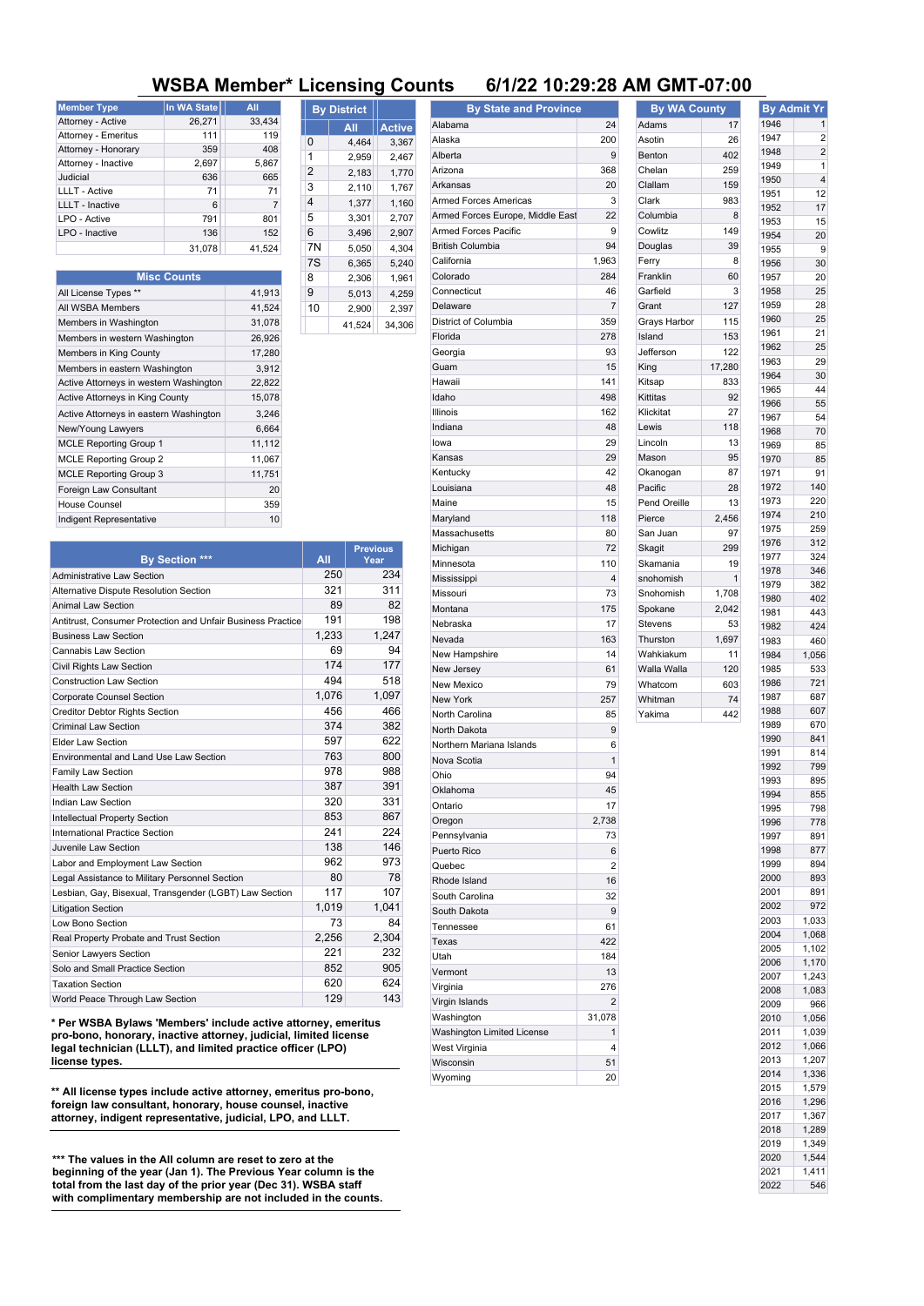## **WSBA Member\* Licensing Counts 6/1/22 10:29:28 AM GMT-07:00**

| <b>Member Type</b>     | <b>In WA State</b> | All            |
|------------------------|--------------------|----------------|
| Attorney - Active      | 26,271             | 33,434         |
| Attorney - Emeritus    | 111                | 119            |
| Attorney - Honorary    | 359                | 408            |
| Attorney - Inactive    | 2,697              | 5,867          |
| Judicial               | 636                | 665            |
| <b>LLLT - Active</b>   | 71                 | 71             |
| <b>LLLT</b> - Inactive | 6                  | $\overline{7}$ |
| LPO - Active           | 791                | 801            |
| LPO - Inactive         | 136                | 152            |
|                        | 31.078             | 41.524         |

| <b>Misc Counts</b>                     |        |
|----------------------------------------|--------|
| All License Types **                   | 41,913 |
| All WSBA Members                       | 41,524 |
| Members in Washington                  | 31,078 |
| Members in western Washington          | 26,926 |
| Members in King County                 | 17,280 |
| Members in eastern Washington          | 3,912  |
| Active Attorneys in western Washington | 22,822 |
| Active Attorneys in King County        | 15,078 |
| Active Attorneys in eastern Washington | 3,246  |
| New/Young Lawyers                      | 6,664  |
| <b>MCLE Reporting Group 1</b>          | 11,112 |
| <b>MCLE Reporting Group 2</b>          | 11,067 |
| <b>MCLE Reporting Group 3</b>          | 11,751 |
| Foreign Law Consultant                 | 20     |
| House Counsel                          | 359    |
| Indigent Representative                | 10     |

|    | <b>By District</b> |               |
|----|--------------------|---------------|
|    | All                | <b>Active</b> |
| 0  | 4,464              | 3,367         |
| 1  | 2,959              | 2,467         |
| 2  | 2,183              | 1,770         |
| 3  | 2,110              | 1,767         |
| 4  | 1,377              | 1,160         |
| 5  | 3,301              | 2,707         |
| 6  | 3.496              | 2,907         |
| 7N | 5.050              | 4,304         |
| 7S | 6,365              | 5,240         |
| 8  | 2,306              | 1,961         |
| 9  | 5,013              | 4,259         |
| 10 | 2,900              | 2,397         |
|    | 41,524             | 34,306        |

| By State and Province            |                |
|----------------------------------|----------------|
| Alabama                          | 24             |
| Alaska                           | 200            |
| Alberta                          | 9              |
| Arizona                          | 368            |
| Arkansas                         | 20             |
| <b>Armed Forces Americas</b>     | 3              |
| Armed Forces Europe, Middle East | 22             |
| <b>Armed Forces Pacific</b>      | 9              |
| <b>British Columbia</b>          | 94             |
| California                       | 1,963          |
| Colorado                         | 284            |
| Connecticut                      | 46             |
| Delaware                         | $\overline{7}$ |
| District of Columbia             | 359            |
| Florida                          | 278            |
| Georgia                          | 93             |
| Guam                             | 15             |
| Hawaii                           | 141            |
| Idaho                            | 498            |
| Illinois                         | 162            |
| Indiana                          | 48             |
| lowa                             | 29             |
| Kansas                           | 29             |
| Kentucky                         | 42             |
| Louisiana                        | 48             |
| Maine                            | 15             |
| Maryland                         | 118            |
| Massachusetts                    | 80             |
| Michigan                         | 72             |
|                                  | 110            |
| Minnesota                        |                |
| Mississippi                      | 4              |
| Missouri                         | 73             |
| Montana                          | 175            |
| Nebraska                         | 17             |
| Nevada                           | 163            |
| New Hampshire                    | 14             |
| New Jersey                       | 61             |
| New Mexico                       | 79             |
| New York                         | 257            |
| North Carolina                   | 85             |
| North Dakota                     | 9              |
| Northern Mariana Islands         | 6              |
| Nova Scotia                      | $\mathbf{1}$   |
| Ohio                             | 94             |
| Oklahoma                         | 45             |
| Ontario                          | 17             |
| Oregon                           | 2,738          |
| Pennsylvania                     | 73             |
| Puerto Rico                      | 6              |
| Quebec                           | 2              |
| Rhode Island                     | 16             |
| South Carolina                   | 32             |
| South Dakota                     | 9              |
| Tennessee                        | 61             |
| Texas                            | 422            |
| Utah                             | 184            |
| Vermont                          | 13             |
|                                  |                |

Virginia 276 Virgin Islands 2 Washington 31,078 Washington Limited License 1 West Virginia **4** and 1 Wisconsin 51 Wyoming 20

owlitz

## **By WA County** Adams 17 sotin 26 enton 402 helan 259 lallam 159 lark 983 olumbia 8<br>
owlitz 149 ouglas 39 erry 8 Franklin 60 arfield 3  $S$ rant 127 rays Harbor 115  $I$ sland 153 efferson 122  $ing$  17,280 itsap 833 Kittitas 92 Klickitat 27 ewis 118  $\ln \frac{1}{3}$ lason 95 kanogan 87 acific 28 Pend Oreille 13  $P = 2,456$ San Juan 97 kagit 299 Skamania 19 nohomish 1 nohomish 1,708  $pokane$  2,042 Stevens 53 hurston 1,697 Wahkiakum 11 Walla Walla 120 Whatcom 603 Whitman 74 akima 442 **By Admit Yr** 1946 1 1947 2<br>1948 2 1948 2<br>1949 1 1949 1<br>1950 4 1950 4<br>1951 12 1951 12<br>1952 17 1952 17<br>1953 15 1953 15<br>1954 20 1954 20 1955 9<br>1956 30 1956 30 1957 20 1958 25<br>1959 28 1959 28<br>1960 25  $1960$ 1961 21<br>1962 25 1962 25<br>1963 29 1963 29<br>1964 30 1964 1965 44 1966 55<br>1967 54 1967 54<br>1968 70 1968 70<br>1969 85 1969 85 1970 1071 01 1972 140 1973 220 1974 1975 259 1976 312 1977 324 1978 346 1979 382 1980 402 1981 443 1982 424 1983 460 1984 1,056 1985 533 1986 721 1987 687 1988 607 1989 670 1990 841 1991 814 1992 799 1993 895 1994 855 1995 798 1996 778 1997 891 1998 877 1999 894 2000 893 2001 891 2002 972 2003 1,033 2004 1,068

2005 1,102 2006 1,170 2007 1,243 2008 1,083 2009 966 2010 1,056 2011 1,039 2012 1,066 2013 1,207 2014 1,336 2015 1,579 2016 1,296 2017 1,367 2018 1,289 2019 1,349 2020 1,544 2021 1,411 2022 546

**By Section \*\*\*** All **All**<br>All **All All All All Previous Year** Administrative Law Section 250 234 Alternative Dispute Resolution Section 321 311 Animal Law Section 82 Antitrust, Consumer Protection and Unfair Business Practice 191 198 and 1,233 1,247 Cannabis Law Section 69 94 Civil Rights Law Section 177 174 177 **Construction Law Section 494 518** Corporate Counsel Section 1,076 1,097 **Creditor Debtor Rights Section 456 456 466** Criminal Law Section 374 382 Elder Law Section 622 Environmental and Land Use Law Section 763 800 Family Law Section 61 2001 12:30 12:30 12:30 12:30 12:30 12:30 12:30 12:30 12:30 12:30 12:30 12:30 12:30 12:30 Health Law Section 391 Indian Law Section 331 Intellectual Property Section 853 867 International Practice Section 241 224 Juvenile Law Section 138 146 Labor and Employment Law Section 862 973 Legal Assistance to Military Personnel Section 80 80 78 Lesbian, Gay, Bisexual, Transgender (LGBT) Law Section 117 107 Litigation Section 1,041 Low Bono Section 64 Real Property Probate and Trust Section 2,256 2,304 Senior Lawyers Section 221 232 Solo and Small Practice Section 852 852 905 Taxation Section 624 **World Peace Through Law Section 129 129 143** Indigent Representative 10

**\* Per WSBA Bylaws 'Members' include active attorney, emeritus pro-bono, honorary, inactive attorney, judicial, limited license legal technician (LLLT), and limited practice officer (LPO) license types.**

**\*\* All license types include active attorney, emeritus pro-bono, foreign law consultant, honorary, house counsel, inactive attorney, indigent representative, judicial, LPO, and LLLT.**

**\*\*\* The values in the All column are reset to zero at the beginning of the year (Jan 1). The Previous Year column is the total from the last day of the prior year (Dec 31). WSBA staff with complimentary membership are not included in the counts.**